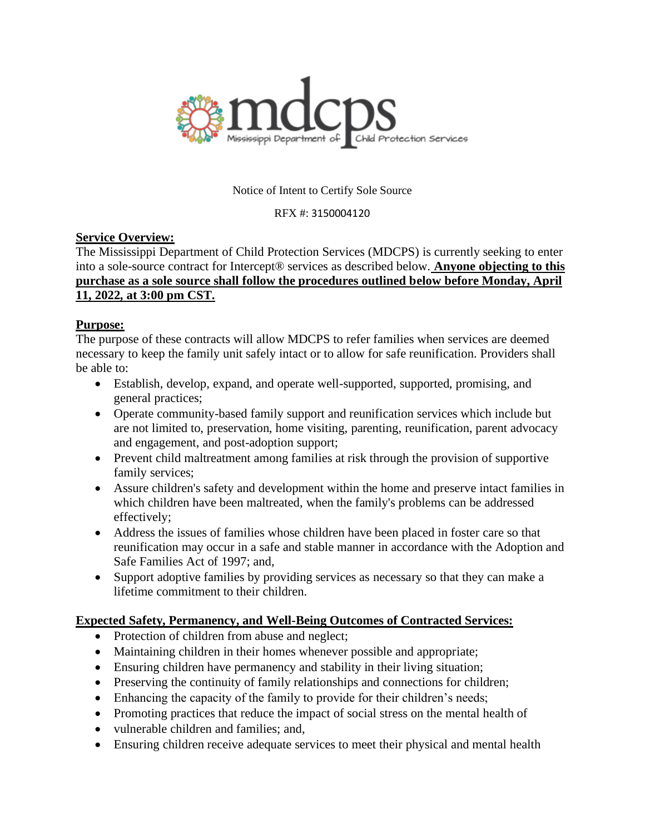

#### Notice of Intent to Certify Sole Source

RFX #: 3150004120

## **Service Overview:**

The Mississippi Department of Child Protection Services (MDCPS) is currently seeking to enter into a sole-source contract for Intercept® services as described below. **Anyone objecting to this purchase as a sole source shall follow the procedures outlined below before Monday, April 11, 2022, at 3:00 pm CST.**

## **Purpose:**

The purpose of these contracts will allow MDCPS to refer families when services are deemed necessary to keep the family unit safely intact or to allow for safe reunification. Providers shall be able to:

- Establish, develop, expand, and operate well-supported, supported, promising, and general practices;
- Operate community-based family support and reunification services which include but are not limited to, preservation, home visiting, parenting, reunification, parent advocacy and engagement, and post-adoption support;
- Prevent child maltreatment among families at risk through the provision of supportive family services;
- Assure children's safety and development within the home and preserve intact families in which children have been maltreated, when the family's problems can be addressed effectively;
- Address the issues of families whose children have been placed in foster care so that reunification may occur in a safe and stable manner in accordance with the Adoption and Safe Families Act of 1997; and,
- Support adoptive families by providing services as necessary so that they can make a lifetime commitment to their children.

# **Expected Safety, Permanency, and Well-Being Outcomes of Contracted Services:**

- Protection of children from abuse and neglect;
- Maintaining children in their homes whenever possible and appropriate;
- Ensuring children have permanency and stability in their living situation;
- Preserving the continuity of family relationships and connections for children;
- Enhancing the capacity of the family to provide for their children's needs;
- Promoting practices that reduce the impact of social stress on the mental health of
- vulnerable children and families; and,
- Ensuring children receive adequate services to meet their physical and mental health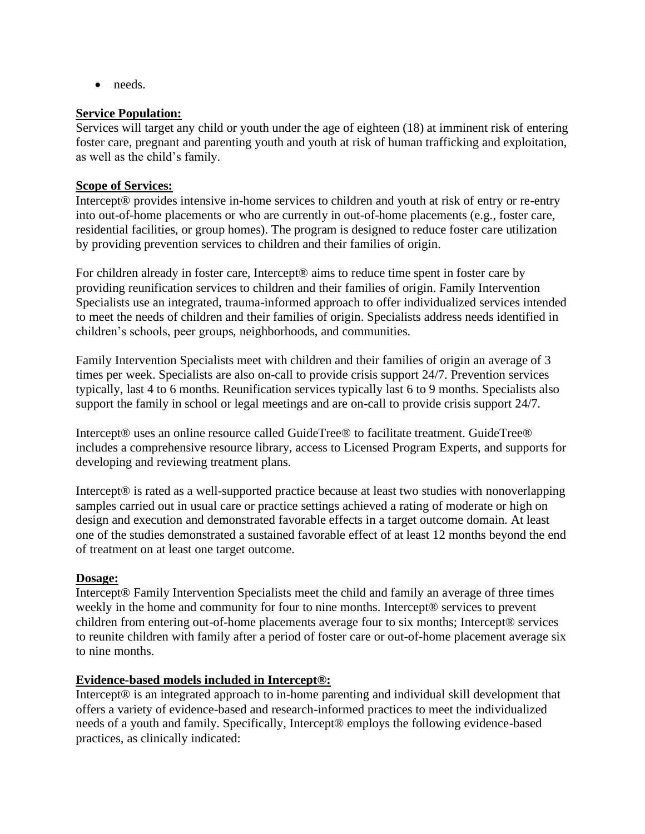• needs.

#### **Service Population:**

Services will target any child or youth under the age of eighteen (18) at imminent risk of entering foster care, pregnant and parenting youth and youth at risk of human trafficking and exploitation, as well as the child's family.

#### **Scope of Services:**

Intercept® provides intensive in-home services to children and youth at risk of entry or re-entry into out-of-home placements or who are currently in out-of-home placements (e.g., foster care, residential facilities, or group homes). The program is designed to reduce foster care utilization by providing prevention services to children and their families of origin.

For children already in foster care, Intercept<sup>®</sup> aims to reduce time spent in foster care by providing reunification services to children and their families of origin. Family Intervention Specialists use an integrated, trauma-informed approach to offer individualized services intended to meet the needs of children and their families of origin. Specialists address needs identified in children's schools, peer groups, neighborhoods, and communities.

Family Intervention Specialists meet with children and their families of origin an average of 3 times per week. Specialists are also on-call to provide crisis support 24/7. Prevention services typically, last 4 to 6 months. Reunification services typically last 6 to 9 months. Specialists also support the family in school or legal meetings and are on-call to provide crisis support 24/7.

Intercept® uses an online resource called GuideTree® to facilitate treatment. GuideTree® includes a comprehensive resource library, access to Licensed Program Experts, and supports for developing and reviewing treatment plans.

Intercept® is rated as a well-supported practice because at least two studies with nonoverlapping samples carried out in usual care or practice settings achieved a rating of moderate or high on design and execution and demonstrated favorable effects in a target outcome domain. At least one of the studies demonstrated a sustained favorable effect of at least 12 months beyond the end of treatment on at least one target outcome.

#### **Dosage:**

Intercept® Family Intervention Specialists meet the child and family an average of three times weekly in the home and community for four to nine months. Intercept<sup>®</sup> services to prevent children from entering out-of-home placements average four to six months; Intercept® services to reunite children with family after a period of foster care or out-of-home placement average six to nine months.

## **Evidence-based models included in Intercept®:**

Intercept® is an integrated approach to in-home parenting and individual skill development that offers a variety of evidence-based and research-informed practices to meet the individualized needs of a youth and family. Specifically, Intercept® employs the following evidence-based practices, as clinically indicated: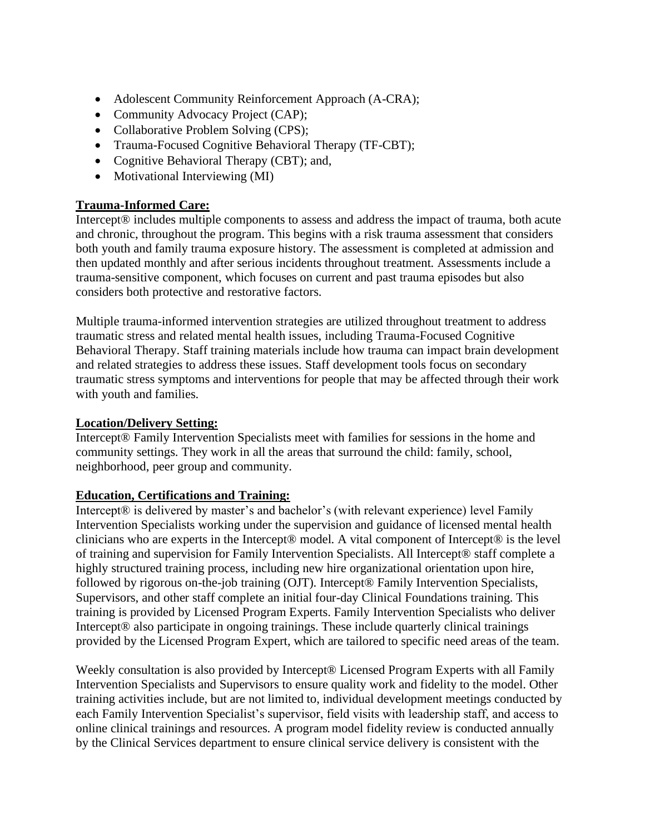- Adolescent Community Reinforcement Approach (A-CRA);
- Community Advocacy Project (CAP);
- Collaborative Problem Solving (CPS);
- Trauma-Focused Cognitive Behavioral Therapy (TF-CBT);
- Cognitive Behavioral Therapy (CBT); and,
- Motivational Interviewing (MI)

## **Trauma-Informed Care:**

Intercept® includes multiple components to assess and address the impact of trauma, both acute and chronic, throughout the program. This begins with a risk trauma assessment that considers both youth and family trauma exposure history. The assessment is completed at admission and then updated monthly and after serious incidents throughout treatment. Assessments include a trauma-sensitive component, which focuses on current and past trauma episodes but also considers both protective and restorative factors.

Multiple trauma-informed intervention strategies are utilized throughout treatment to address traumatic stress and related mental health issues, including Trauma-Focused Cognitive Behavioral Therapy. Staff training materials include how trauma can impact brain development and related strategies to address these issues. Staff development tools focus on secondary traumatic stress symptoms and interventions for people that may be affected through their work with youth and families.

#### **Location/Delivery Setting:**

Intercept® Family Intervention Specialists meet with families for sessions in the home and community settings. They work in all the areas that surround the child: family, school, neighborhood, peer group and community.

## **Education, Certifications and Training:**

Intercept® is delivered by master's and bachelor's (with relevant experience) level Family Intervention Specialists working under the supervision and guidance of licensed mental health clinicians who are experts in the Intercept® model. A vital component of Intercept® is the level of training and supervision for Family Intervention Specialists. All Intercept® staff complete a highly structured training process, including new hire organizational orientation upon hire, followed by rigorous on-the-job training (OJT). Intercept® Family Intervention Specialists, Supervisors, and other staff complete an initial four-day Clinical Foundations training. This training is provided by Licensed Program Experts. Family Intervention Specialists who deliver Intercept® also participate in ongoing trainings. These include quarterly clinical trainings provided by the Licensed Program Expert, which are tailored to specific need areas of the team.

Weekly consultation is also provided by Intercept® Licensed Program Experts with all Family Intervention Specialists and Supervisors to ensure quality work and fidelity to the model. Other training activities include, but are not limited to, individual development meetings conducted by each Family Intervention Specialist's supervisor, field visits with leadership staff, and access to online clinical trainings and resources. A program model fidelity review is conducted annually by the Clinical Services department to ensure clinical service delivery is consistent with the